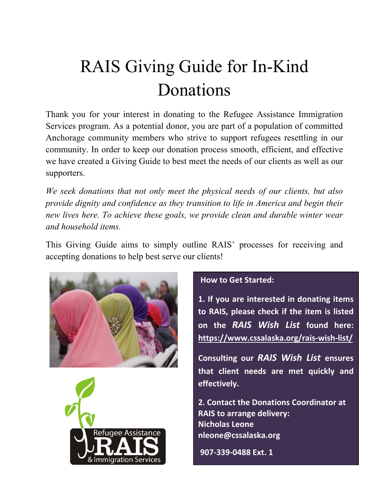# RAIS Giving Guide for In-Kind Donations

Thank you for your interest in donating to the Refugee Assistance Immigration Services program. As a potential donor, you are part of a population of committed Anchorage community members who strive to support refugees resettling in our community. In order to keep our donation process smooth, efficient, and effective we have created a Giving Guide to best meet the needs of our clients as well as our supporters.

*We seek donations that not only meet the physical needs of our clients, but also provide dignity and confidence as they transition to life in America and begin their new lives here. To achieve these goals, we provide clean and durable winter wear and household items.* 

This Giving Guide aims to simply outline RAIS' processes for receiving and accepting donations to help best serve our clients!





#### **How to Get Started:**

**1. If you are interested in donating items to RAIS, please check if the item is listed on the** *RAIS Wish List* **found here: <https://www.cssalaska.org/rais-wish-list/>**

**Consulting our** *RAIS Wish List* **ensures that client needs are met quickly and effectively.**

**2. Contact the Donations Coordinator at RAIS to arrange delivery: Nicholas Leone nleone@cssalaska.org** 

**907-339-0488 Ext. 1**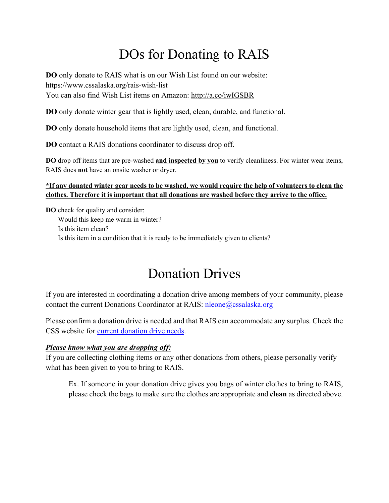### DOs for Donating to RAIS

**DO** only donate to RAIS what is on our Wish List found on our website: https://www.cssalaska.org/rais-wish-list You can also find Wish List items on Amazon:<http://a.co/iwIGSBR>

**DO** only donate winter gear that is lightly used, clean, durable, and functional.

**DO** only donate household items that are lightly used, clean, and functional.

**DO** contact a RAIS donations coordinator to discuss drop off.

**DO** drop off items that are pre-washed **and inspected by you** to verify cleanliness. For winter wear items, RAIS does **not** have an onsite washer or dryer.

#### **\*If any donated winter gear needs to be washed, we would require the help of volunteers to clean the clothes. Therefore it is important that all donations are washed before they arrive to the office.**

**DO** check for quality and consider: Would this keep me warm in winter? Is this item clean? Is this item in a condition that it is ready to be immediately given to clients?

### Donation Drives

If you are interested in coordinating a donation drive among members of your community, please contact the current Donations Coordinator at RAIS: [nleone@cssalaska.org](mailto:nleone@cssalaska.org)

Please confirm a donation drive is needed and that RAIS can accommodate any surplus. Check the CSS website for [current donation drive needs.](https://www.cssalaska.org/our-programs/refugee-assistance-immigration-services/support-refugee-assistance-services/)

#### *Please know what you are dropping off:*

If you are collecting clothing items or any other donations from others, please personally verify what has been given to you to bring to RAIS.

Ex. If someone in your donation drive gives you bags of winter clothes to bring to RAIS, please check the bags to make sure the clothes are appropriate and **clean** as directed above.